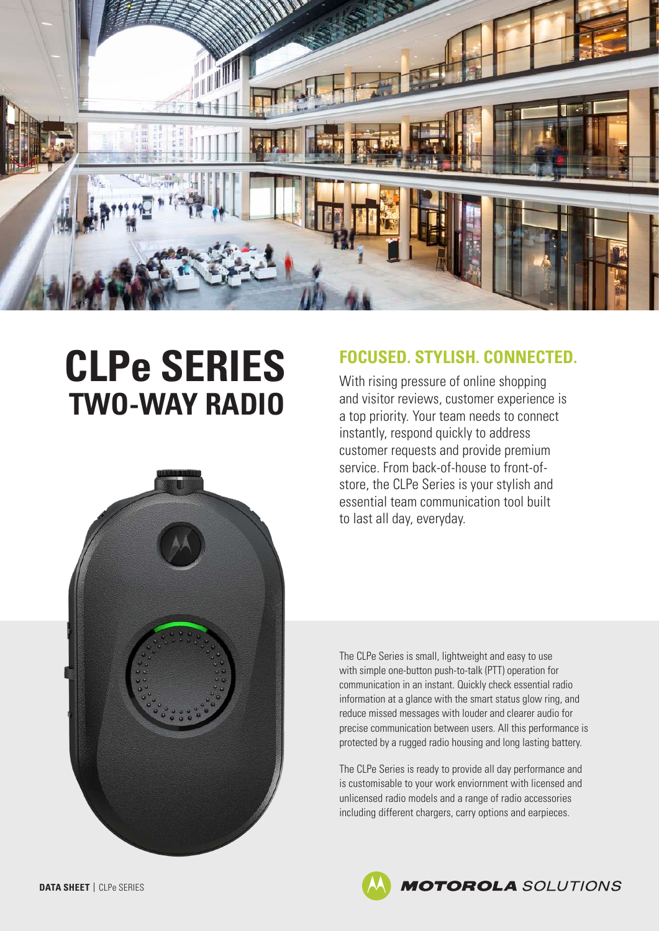

# **CLPe SERIES TWO-WAY RADIO**



# **FOCUSED. STYLISH. CONNECTED.**

With rising pressure of online shopping and visitor reviews, customer experience is a top priority. Your team needs to connect instantly, respond quickly to address customer requests and provide premium service. From back-of-house to front-ofstore, the CLPe Series is your stylish and essential team communication tool built to last all day, everyday.

The CLPe Series is small, lightweight and easy to use with simple one-button push-to-talk (PTT) operation for communication in an instant. Quickly check essential radio information at a glance with the smart status glow ring, and reduce missed messages with louder and clearer audio for precise communication between users. All this performance is protected by a rugged radio housing and long lasting battery.

The CLPe Series is ready to provide all day performance and is customisable to your work enviornment with licensed and unlicensed radio models and a range of radio accessories including different chargers, carry options and earpieces.

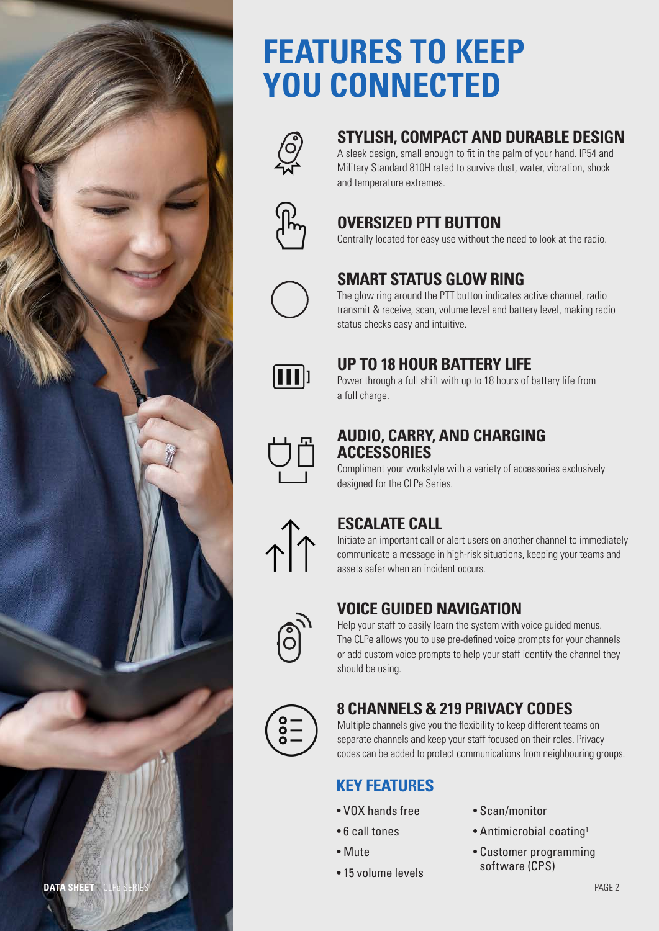

# **FEATURES TO KEEP YOU CONNECTED**



# **STYLISH, COMPACT AND DURABLE DESIGN**

A sleek design, small enough to fit in the palm of your hand. IP54 and Military Standard 810H rated to survive dust, water, vibration, shock and temperature extremes.



# **OVERSIZED PTT BUTTON**

Centrally located for easy use without the need to look at the radio.



### **SMART STATUS GLOW RING**

The glow ring around the PTT button indicates active channel, radio transmit & receive, scan, volume level and battery level, making radio status checks easy and intuitive.



### **UP TO 18 HOUR BATTERY LIFE**

Power through a full shift with up to 18 hours of battery life from a full charge.



#### **AUDIO, CARRY, AND CHARGING ACCESSORIES**

Compliment your workstyle with a variety of accessories exclusively designed for the CLPe Series.



# **ESCALATE CALL**

Initiate an important call or alert users on another channel to immediately communicate a message in high-risk situations, keeping your teams and assets safer when an incident occurs.



# **VOICE GUIDED NAVIGATION**

Help your staff to easily learn the system with voice guided menus. The CLPe allows you to use pre-defined voice prompts for your channels or add custom voice prompts to help your staff identify the channel they should be using.



# **8 CHANNELS & 219 PRIVACY CODES**

Multiple channels give you the flexibility to keep different teams on separate channels and keep your staff focused on their roles. Privacy codes can be added to protect communications from neighbouring groups.

# **KEY FEATURES**

- VOX hands free
- 6 call tones
- Mute
- 15 volume levels
- Scan/monitor
- Antimicrobial coating1
- Customer programming software (CPS)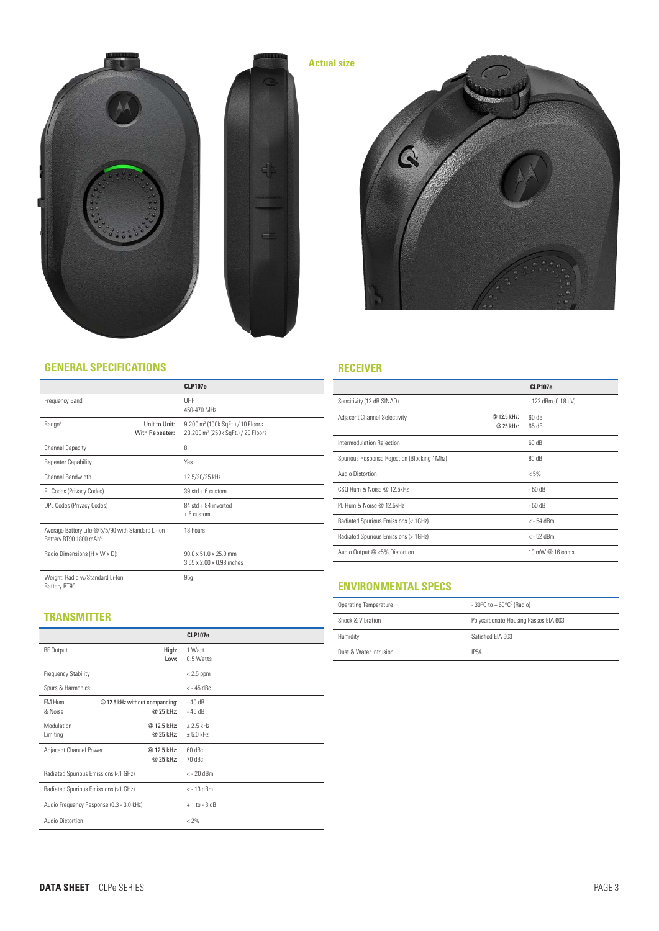



#### **GENERAL SPECIFICATIONS**

|                                                                                          | <b>CLP107e</b>                                                                                                   |
|------------------------------------------------------------------------------------------|------------------------------------------------------------------------------------------------------------------|
| Frequency Band                                                                           | UHF<br>450-470 MHz                                                                                               |
| Range <sup>3</sup><br>With Repeater:                                                     | Unit to Unit:<br>9,200 m <sup>2</sup> (100k SqFt.) / 10 Floors<br>23,200 m <sup>2</sup> (250k SqFt.) / 20 Floors |
| <b>Channel Capacity</b>                                                                  | 8                                                                                                                |
| <b>Repeater Capability</b>                                                               | Yes                                                                                                              |
| Channel Bandwidth                                                                        | 12.5/20/25 kHz                                                                                                   |
| PL Codes (Privacy Codes)                                                                 | $39$ std + 6 custom                                                                                              |
| DPL Codes (Privacy Codes)                                                                | 84 std + 84 inverted<br>$+6$ custom                                                                              |
| Average Battery Life @ 5/5/90 with Standard Li-Ion<br>Battery BT90 1800 mAh <sup>5</sup> | 18 hours                                                                                                         |
| Radio Dimensions (H x W x D):                                                            | 90 0 x 51 0 x 25 0 mm<br>3 55 x 2 00 x 0 98 inches                                                               |
| Weight: Radio w/Standard Li-Ion<br>Battery BT90                                          | 95q                                                                                                              |

#### **RECEIVER**

|                                             |                          | <b>CLP107e</b>      |
|---------------------------------------------|--------------------------|---------------------|
| Sensitivity (12 dB SINAD)                   |                          | - 122 dBm (0.18 uV) |
| <b>Adjacent Channel Selectivity</b>         | @ 12.5 kHz:<br>@ 25 kHz: | 60 dB<br>65dB       |
| Intermodulation Rejection                   |                          | 60 dB               |
| Spurious Response Rejection (Blocking 1Mhz) |                          | 80 dB               |
| Audio Distortion                            |                          | $< 5\%$             |
| CSO Hum & Noise @ 12 5kHz                   |                          | $-50dB$             |
| PI Hum & Noise @ 12 5kHz                    |                          | $-50dB$             |
| Radiated Spurious Emissions (< 1GHz)        |                          | $<$ - 54 dBm        |
| Radiated Spurious Emissions (> 1GHz)        |                          | $<-52$ dBm          |
| Audio Output @ <5% Distortion               |                          | 10 mW @ 16 ohms     |
|                                             |                          |                     |

#### **ENVIRONMENTAL SPECS**

| Operating Temperature  | $-30^{\circ}$ C to $+60^{\circ}$ C <sup>6</sup> (Radio) |
|------------------------|---------------------------------------------------------|
| Shock & Vibration      | Polycarbonate Housing Passes EIA 603                    |
| Humidity               | Satisfied FIA 603                                       |
| Dust & Water Intrusion | <b>IP54</b>                                             |

#### **TRANSMITTER**

|                                          |             | <b>CLP107e</b>  |  |
|------------------------------------------|-------------|-----------------|--|
| <b>RF Output</b>                         | High:       | 1 Watt          |  |
|                                          | Low:        | 0.5 Watts       |  |
| <b>Frequency Stability</b>               |             | $< 2.5$ ppm     |  |
| Spurs & Harmonics                        |             | $<-45$ dBc      |  |
| FM Hum<br>@ 12.5 kHz without companding: |             | $-40dB$         |  |
| & Noise                                  | @ 25 kHz:   | $-45dB$         |  |
| Modulation                               | @ 12.5 kHz: | $+2.5$ kHz      |  |
| Limiting                                 | @ 25 kHz:   | $± 5.0$ kHz     |  |
| Adjacent Channel Power<br>@ 12.5 kHz:    |             | 60 dBc          |  |
|                                          | @ 25 kHz:   | 70 dBc          |  |
| Radiated Spurious Emissions (<1 GHz)     |             | $<$ - 20 dBm    |  |
| Radiated Spurious Emissions (>1 GHz)     |             | $<$ - 13 dBm    |  |
| Audio Frequency Response (0.3 - 3.0 kHz) |             | $+1$ to $-3$ dB |  |
| Audio Distortion                         |             | $< 2\%$         |  |